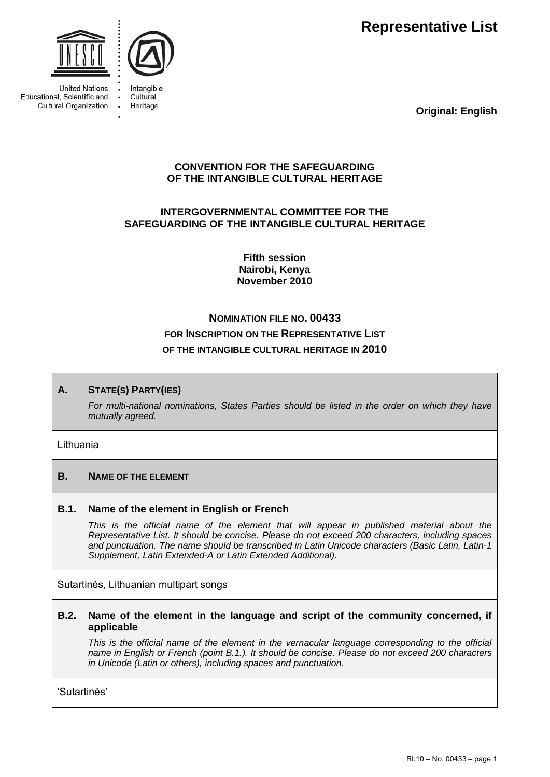**Representative List** 



**United Nations** Educational, Scientific and Cultural Organization



Intangible Cultural Heritage

**Original: English**

# **CONVENTION FOR THE SAFEGUARDING OF THE INTANGIBLE CULTURAL HERITAGE**

# **INTERGOVERNMENTAL COMMITTEE FOR THE SAFEGUARDING OF THE INTANGIBLE CULTURAL HERITAGE**

**Fifth session Nairobi, Kenya November 2010** 

# **NOMINATION FILE NO. 00433 FOR INSCRIPTION ON THE REPRESENTATIVE LIST OF THE INTANGIBLE CULTURAL HERITAGE IN 2010**

# **A. STATE(S) PARTY(IES)**

*For multi-national nominations, States Parties should be listed in the order on which they have mutually agreed.* 

#### Lithuania

# **B. NAME OF THE ELEMENT**

# **B.1. Name of the element in English or French**

This is the official name of the element that will appear in published material about the *Representative List. It should be concise. Please do not exceed 200 characters, including spaces and punctuation. The name should be transcribed in Latin Unicode characters (Basic Latin, Latin-1 Supplement, Latin Extended-A or Latin Extended Additional).* 

Sutartinės, Lithuanian multipart songs

#### **B.2. Name of the element in the language and script of the community concerned, if applicable**

*This is the official name of the element in the vernacular language corresponding to the official name in English or French (point B.1.). It should be concise. Please do not exceed 200 characters in Unicode (Latin or others), including spaces and punctuation.* 

'Sutartinės'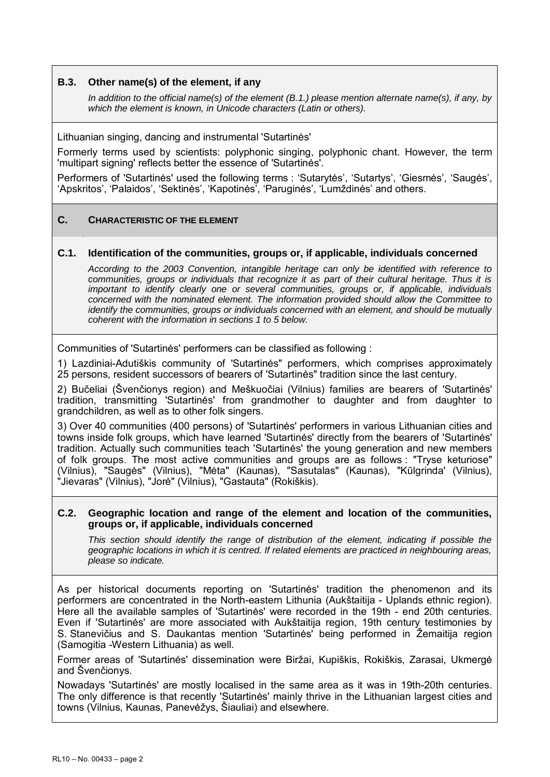#### **B.3. Other name(s) of the element, if any**

*In addition to the official name(s) of the element (B.1.) please mention alternate name(s), if any, by which the element is known, in Unicode characters (Latin or others).* 

Lithuanian singing, dancing and instrumental 'Sutartinės'

Formerly terms used by scientists: polyphonic singing, polyphonic chant. However, the term 'multipart signing' reflects better the essence of 'Sutartinės'.

Performers of 'Sutartinės' used the following terms : 'Sutarytės', 'Sutartys', 'Giesmės', 'Saugės', 'Apskritos', 'Palaidos', 'Sektinės', 'Kapotinės', 'Paruginės', 'Lumždinės' and others.

# **C. CHARACTERISTIC OF THE ELEMENT**

### **C.1. Identification of the communities, groups or, if applicable, individuals concerned**

*According to the 2003 Convention, intangible heritage can only be identified with reference to communities, groups or individuals that recognize it as part of their cultural heritage. Thus it is important to identify clearly one or several communities, groups or, if applicable, individuals concerned with the nominated element. The information provided should allow the Committee to identify the communities, groups or individuals concerned with an element, and should be mutually coherent with the information in sections 1 to 5 below.* 

Communities of 'Sutartinės' performers can be classified as following :

1) Lazdiniai-Adutiškis community of 'Sutartinės" performers, which comprises approximately 25 persons, resident successors of bearers of 'Sutartinės" tradition since the last century.

2) Bučeliai (Švenčionys region) and Meškuočiai (Vilnius) families are bearers of 'Sutartinės' tradition, transmitting 'Sutartinės' from grandmother to daughter and from daughter to grandchildren, as well as to other folk singers.

3) Over 40 communities (400 persons) of 'Sutartinės' performers in various Lithuanian cities and towns inside folk groups, which have learned 'Sutartinės' directly from the bearers of 'Sutartinės' tradition. Actually such communities teach 'Sutartinės' the young generation and new members of folk groups. The most active communities and groups are as follows : "Tryse keturiose" (Vilnius), "Saugės" (Vilnius), "Mėta" (Kaunas), "Sasutalas" (Kaunas), "Kūlgrinda' (Vilnius), "Jievaras" (Vilnius), "Jorė" (Vilnius), "Gastauta" (Rokiškis).

#### **C.2. Geographic location and range of the element and location of the communities, groups or, if applicable, individuals concerned**

*This section should identify the range of distribution of the element, indicating if possible the geographic locations in which it is centred. If related elements are practiced in neighbouring areas, please so indicate.* 

As per historical documents reporting on 'Sutartinės' tradition the phenomenon and its performers are concentrated in the North-eastern Lithunia (Aukštaitija - Uplands ethnic region). Here all the available samples of 'Sutartinės' were recorded in the 19th - end 20th centuries. Even if 'Sutartinės' are more associated with Aukštaitija region, 19th century testimonies by S. Stanevičius and S. Daukantas mention 'Sutartinės' being performed in Žemaitija region (Samogitia -Western Lithuania) as well.

Former areas of 'Sutartinės' dissemination were Biržai, Kupiškis, Rokiškis, Zarasai, Ukmergė and Švenčionys.

Nowadays 'Sutartinės' are mostly localised in the same area as it was in 19th-20th centuries. The only difference is that recently 'Sutartinės' mainly thrive in the Lithuanian largest cities and towns (Vilnius, Kaunas, Panevėžys, Šiauliai) and elsewhere.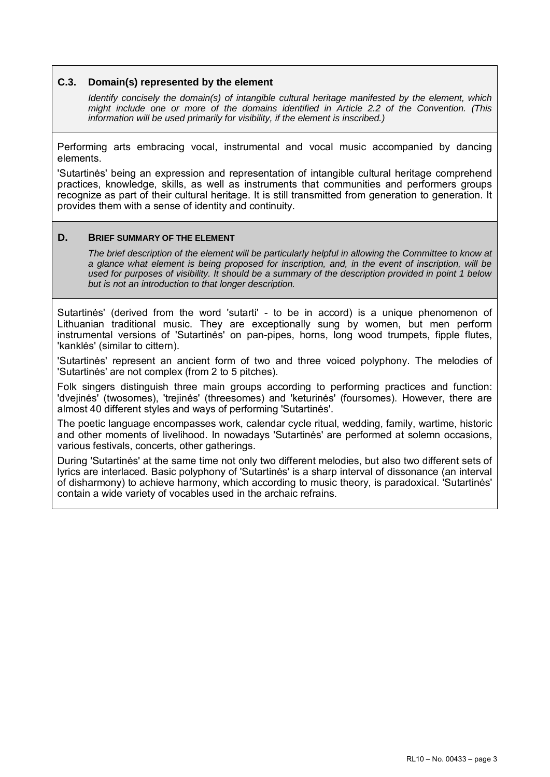#### **C.3. Domain(s) represented by the element**

*Identify concisely the domain(s) of intangible cultural heritage manifested by the element, which might include one or more of the domains identified in Article 2.2 of the Convention. (This information will be used primarily for visibility, if the element is inscribed.)* 

Performing arts embracing vocal, instrumental and vocal music accompanied by dancing elements.

'Sutartinės' being an expression and representation of intangible cultural heritage comprehend practices, knowledge, skills, as well as instruments that communities and performers groups recognize as part of their cultural heritage. It is still transmitted from generation to generation. It provides them with a sense of identity and continuity.

#### **D. BRIEF SUMMARY OF THE ELEMENT**

*The brief description of the element will be particularly helpful in allowing the Committee to know at a glance what element is being proposed for inscription, and, in the event of inscription, will be used for purposes of visibility. It should be a summary of the description provided in point 1 below but is not an introduction to that longer description.* 

Sutartinės' (derived from the word 'sutarti' - to be in accord) is a unique phenomenon of Lithuanian traditional music. They are exceptionally sung by women, but men perform instrumental versions of 'Sutartinės' on pan-pipes, horns, long wood trumpets, fipple flutes, 'kanklės' (similar to cittern).

'Sutartinės' represent an ancient form of two and three voiced polyphony. The melodies of 'Sutartinės' are not complex (from 2 to 5 pitches).

Folk singers distinguish three main groups according to performing practices and function: 'dvejinės' (twosomes), 'trejinės' (threesomes) and 'keturinės' (foursomes). However, there are almost 40 different styles and ways of performing 'Sutartinės'.

The poetic language encompasses work, calendar cycle ritual, wedding, family, wartime, historic and other moments of livelihood. In nowadays 'Sutartinės' are performed at solemn occasions, various festivals, concerts, other gatherings.

During 'Sutartinės' at the same time not only two different melodies, but also two different sets of lyrics are interlaced. Basic polyphony of 'Sutartinės' is a sharp interval of dissonance (an interval of disharmony) to achieve harmony, which according to music theory, is paradoxical. 'Sutartinės' contain a wide variety of vocables used in the archaic refrains.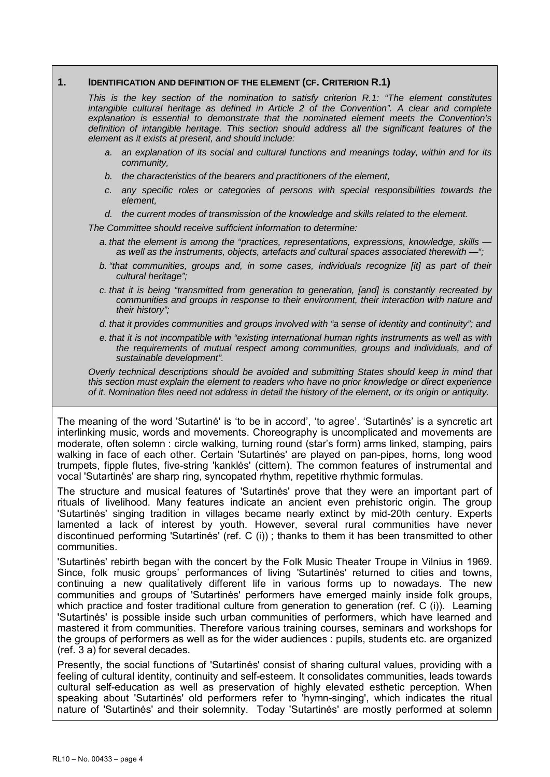#### **1. IDENTIFICATION AND DEFINITION OF THE ELEMENT (CF. CRITERION R.1)**

*This is the key section of the nomination to satisfy criterion R.1: "The element constitutes intangible cultural heritage as defined in Article 2 of the Convention". A clear and complete explanation is essential to demonstrate that the nominated element meets the Convention's definition of intangible heritage. This section should address all the significant features of the element as it exists at present, and should include:* 

- *a. an explanation of its social and cultural functions and meanings today, within and for its community,*
- *b. the characteristics of the bearers and practitioners of the element,*
- *c. any specific roles or categories of persons with special responsibilities towards the element,*
- *d. the current modes of transmission of the knowledge and skills related to the element.*

*The Committee should receive sufficient information to determine:* 

- *a. that the element is among the "practices, representations, expressions, knowledge, skills as well as the instruments, objects, artefacts and cultural spaces associated therewith —";*
- *b. "that communities, groups and, in some cases, individuals recognize [it] as part of their cultural heritage";*
- *c. that it is being "transmitted from generation to generation, [and] is constantly recreated by communities and groups in response to their environment, their interaction with nature and their history";*
- *d. that it provides communities and groups involved with "a sense of identity and continuity"; and*
- *e. that it is not incompatible with "existing international human rights instruments as well as with the requirements of mutual respect among communities, groups and individuals, and of sustainable development".*

*Overly technical descriptions should be avoided and submitting States should keep in mind that this section must explain the element to readers who have no prior knowledge or direct experience of it. Nomination files need not address in detail the history of the element, or its origin or antiquity.* 

The meaning of the word 'Sutartinė' is 'to be in accord', 'to agree'. 'Sutartinės' is a syncretic art interlinking music, words and movements. Choreography is uncomplicated and movements are moderate, often solemn : circle walking, turning round (star's form) arms linked, stamping, pairs walking in face of each other. Certain 'Sutartinės' are played on pan-pipes, horns, long wood trumpets, fipple flutes, five-string 'kanklės' (cittern). The common features of instrumental and vocal 'Sutartinės' are sharp ring, syncopated rhythm, repetitive rhythmic formulas.

The structure and musical features of 'Sutartinės' prove that they were an important part of rituals of livelihood. Many features indicate an ancient even prehistoric origin. The group 'Sutartinės' singing tradition in villages became nearly extinct by mid-20th century. Experts lamented a lack of interest by youth. However, several rural communities have never discontinued performing 'Sutartinės' (ref. C (i)) ; thanks to them it has been transmitted to other communities.

'Sutartinės' rebirth began with the concert by the Folk Music Theater Troupe in Vilnius in 1969. Since, folk music groups' performances of living 'Sutartinės' returned to cities and towns, continuing a new qualitatively different life in various forms up to nowadays. The new communities and groups of 'Sutartinės' performers have emerged mainly inside folk groups, which practice and foster traditional culture from generation to generation (ref. C (i)). Learning 'Sutartinės' is possible inside such urban communities of performers, which have learned and mastered it from communities. Therefore various training courses, seminars and workshops for the groups of performers as well as for the wider audiences : pupils, students etc. are organized (ref. 3 a) for several decades.

Presently, the social functions of 'Sutartinės' consist of sharing cultural values, providing with a feeling of cultural identity, continuity and self-esteem. It consolidates communities, leads towards cultural self-education as well as preservation of highly elevated esthetic perception. When speaking about 'Sutartinės' old performers refer to 'hymn-singing', which indicates the ritual nature of 'Sutartinės' and their solemnity. Today 'Sutartinės' are mostly performed at solemn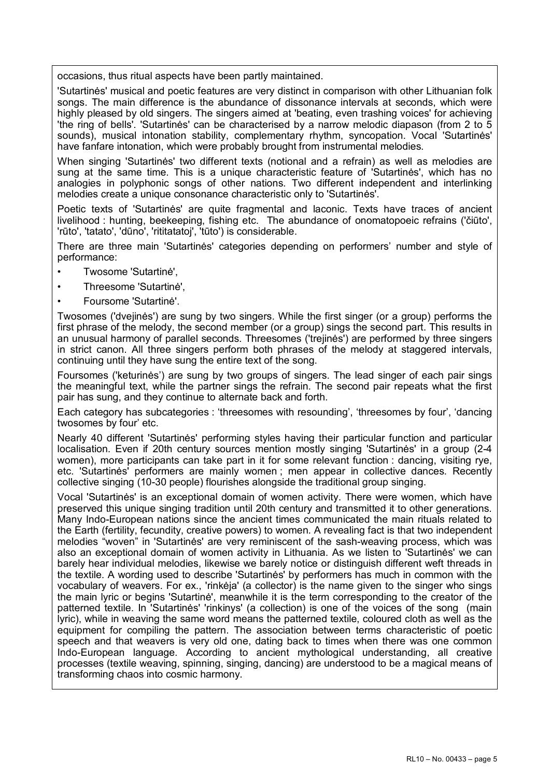occasions, thus ritual aspects have been partly maintained.

'Sutartinės' musical and poetic features are very distinct in comparison with other Lithuanian folk songs. The main difference is the abundance of dissonance intervals at seconds, which were highly pleased by old singers. The singers aimed at 'beating, even trashing voices' for achieving 'the ring of bells'. 'Sutartinės' can be characterised by a narrow melodic diapason (from 2 to 5 sounds), musical intonation stability, complementary rhythm, syncopation. Vocal 'Sutartinės' have fanfare intonation, which were probably brought from instrumental melodies.

When singing 'Sutartinės' two different texts (notional and a refrain) as well as melodies are sung at the same time. This is a unique characteristic feature of 'Sutartinės', which has no analogies in polyphonic songs of other nations. Two different independent and interlinking melodies create a unique consonance characteristic only to 'Sutartinės'.

Poetic texts of 'Sutartinės' are quite fragmental and laconic. Texts have traces of ancient livelihood : hunting, beekeeping, fishing etc. The abundance of onomatopoeic refrains ('čiūto', 'rūto', 'tatato', 'dūno', 'rititatatoj', 'tūto') is considerable.

There are three main 'Sutartinės' categories depending on performers' number and style of performance:

- Twosome 'Sutartinė',
- Threesome 'Sutartinė',
- Foursome 'Sutartinė'.

Twosomes ('dvejinės') are sung by two singers. While the first singer (or a group) performs the first phrase of the melody, the second member (or a group) sings the second part. This results in an unusual harmony of parallel seconds. Threesomes ('trejinės') are performed by three singers in strict canon. All three singers perform both phrases of the melody at staggered intervals, continuing until they have sung the entire text of the song.

Foursomes ('keturinės') are sung by two groups of singers. The lead singer of each pair sings the meaningful text, while the partner sings the refrain. The second pair repeats what the first pair has sung, and they continue to alternate back and forth.

Each category has subcategories : 'threesomes with resounding', 'threesomes by four', 'dancing twosomes by four' etc.

Nearly 40 different 'Sutartinės' performing styles having their particular function and particular localisation. Even if 20th century sources mention mostly singing 'Sutartinės' in a group (2-4 women), more participants can take part in it for some relevant function : dancing, visiting rye, etc. 'Sutartinės' performers are mainly women ; men appear in collective dances. Recently collective singing (10-30 people) flourishes alongside the traditional group singing.

Vocal 'Sutartinės' is an exceptional domain of women activity. There were women, which have preserved this unique singing tradition until 20th century and transmitted it to other generations. Many Indo-European nations since the ancient times communicated the main rituals related to the Earth (fertility, fecundity, creative powers) to women. A revealing fact is that two independent melodies "woven" in 'Sutartinės' are very reminiscent of the sash-weaving process, which was also an exceptional domain of women activity in Lithuania. As we listen to 'Sutartinės' we can barely hear individual melodies, likewise we barely notice or distinguish different weft threads in the textile. A wording used to describe 'Sutartinės' by performers has much in common with the vocabulary of weavers. For ex., 'rinkėja' (a collector) is the name given to the singer who sings the main lyric or begins 'Sutartinė', meanwhile it is the term corresponding to the creator of the patterned textile. In 'Sutartinės' 'rinkinys' (a collection) is one of the voices of the song (main lyric), while in weaving the same word means the patterned textile, coloured cloth as well as the equipment for compiling the pattern. The association between terms characteristic of poetic speech and that weavers is very old one, dating back to times when there was one common Indo-European language. According to ancient mythological understanding, all creative processes (textile weaving, spinning, singing, dancing) are understood to be a magical means of transforming chaos into cosmic harmony.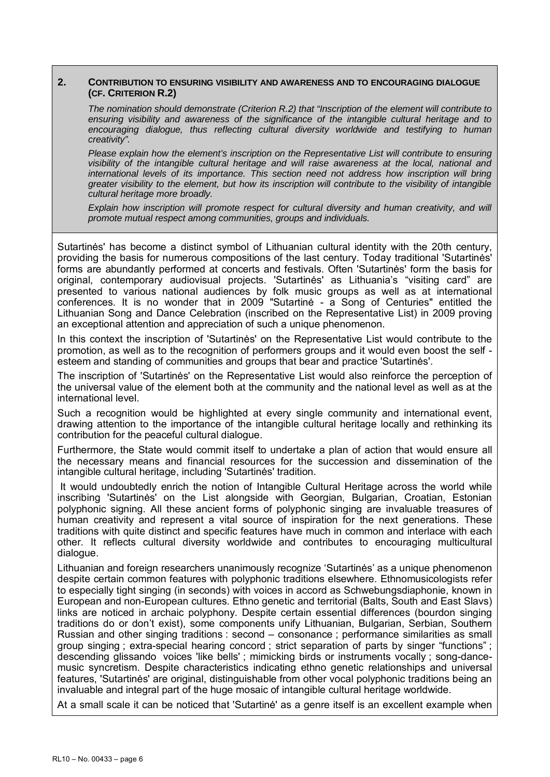#### **2. CONTRIBUTION TO ENSURING VISIBILITY AND AWARENESS AND TO ENCOURAGING DIALOGUE (CF. CRITERION R.2)**

*The nomination should demonstrate (Criterion R.2) that "Inscription of the element will contribute to ensuring visibility and awareness of the significance of the intangible cultural heritage and to encouraging dialogue, thus reflecting cultural diversity worldwide and testifying to human creativity".* 

*Please explain how the element's inscription on the Representative List will contribute to ensuring visibility of the intangible cultural heritage and will raise awareness at the local, national and international levels of its importance. This section need not address how inscription will bring greater visibility to the element, but how its inscription will contribute to the visibility of intangible cultural heritage more broadly.* 

*Explain how inscription will promote respect for cultural diversity and human creativity, and will promote mutual respect among communities, groups and individuals.* 

Sutartinės' has become a distinct symbol of Lithuanian cultural identity with the 20th century, providing the basis for numerous compositions of the last century. Today traditional 'Sutartinės' forms are abundantly performed at concerts and festivals. Often 'Sutartinės' form the basis for original, contemporary audiovisual projects. 'Sutartinės' as Lithuania's "visiting card" are presented to various national audiences by folk music groups as well as at international conferences. It is no wonder that in 2009 "Sutartine - a Song of Centuries" entitled the Lithuanian Song and Dance Celebration (inscribed on the Representative List) in 2009 proving an exceptional attention and appreciation of such a unique phenomenon.

In this context the inscription of 'Sutartinės' on the Representative List would contribute to the promotion, as well as to the recognition of performers groups and it would even boost the self esteem and standing of communities and groups that bear and practice 'Sutartinės'.

The inscription of 'Sutartinės' on the Representative List would also reinforce the perception of the universal value of the element both at the community and the national level as well as at the international level.

Such a recognition would be highlighted at every single community and international event, drawing attention to the importance of the intangible cultural heritage locally and rethinking its contribution for the peaceful cultural dialogue.

Furthermore, the State would commit itself to undertake a plan of action that would ensure all the necessary means and financial resources for the succession and dissemination of the intangible cultural heritage, including 'Sutartinės' tradition.

 It would undoubtedly enrich the notion of Intangible Cultural Heritage across the world while inscribing 'Sutartinės' on the List alongside with Georgian, Bulgarian, Croatian, Estonian polyphonic signing. All these ancient forms of polyphonic singing are invaluable treasures of human creativity and represent a vital source of inspiration for the next generations. These traditions with quite distinct and specific features have much in common and interlace with each other. It reflects cultural diversity worldwide and contributes to encouraging multicultural dialogue.

Lithuanian and foreign researchers unanimously recognize 'Sutartinės' as a unique phenomenon despite certain common features with polyphonic traditions elsewhere. Ethnomusicologists refer to especially tight singing (in seconds) with voices in accord as Schwebungsdiaphonie, known in European and non-European cultures. Ethno genetic and territorial (Balts, South and East Slavs) links are noticed in archaic polyphony. Despite certain essential differences (bourdon singing traditions do or don't exist), some components unify Lithuanian, Bulgarian, Serbian, Southern Russian and other singing traditions : second – consonance ; performance similarities as small group singing ; extra-special hearing concord ; strict separation of parts by singer "functions" ; descending glissando voices 'like bells' ; mimicking birds or instruments vocally ; song-dancemusic syncretism. Despite characteristics indicating ethno genetic relationships and universal features, 'Sutartinės' are original, distinguishable from other vocal polyphonic traditions being an invaluable and integral part of the huge mosaic of intangible cultural heritage worldwide.

At a small scale it can be noticed that 'Sutartinė' as a genre itself is an excellent example when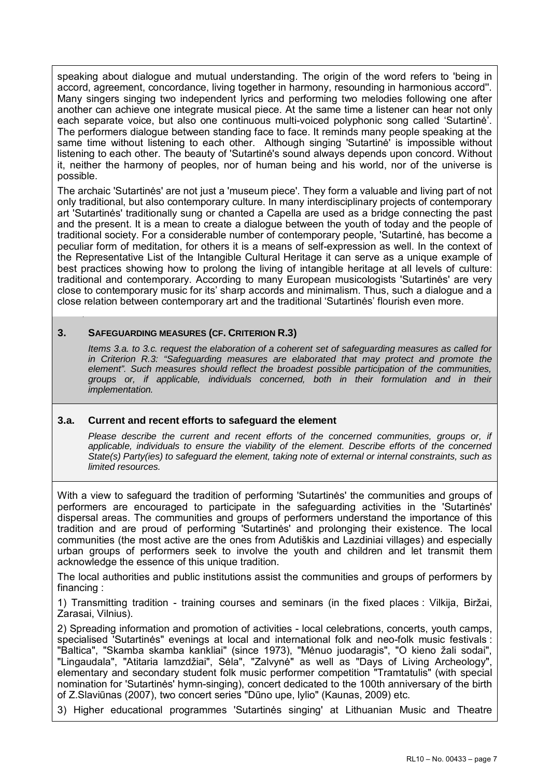speaking about dialogue and mutual understanding. The origin of the word refers to 'being in accord, agreement, concordance, living together in harmony, resounding in harmonious accord''. Many singers singing two independent lyrics and performing two melodies following one after another can achieve one integrate musical piece. At the same time a listener can hear not only each separate voice, but also one continuous multi-voiced polyphonic song called 'Sutartinė'. The performers dialogue between standing face to face. It reminds many people speaking at the same time without listening to each other. Although singing 'Sutartinė' is impossible without listening to each other. The beauty of 'Sutartinė's sound always depends upon concord. Without it, neither the harmony of peoples, nor of human being and his world, nor of the universe is possible.

The archaic 'Sutartinės' are not just a 'museum piece'. They form a valuable and living part of not only traditional, but also contemporary culture. In many interdisciplinary projects of contemporary art 'Sutartinės' traditionally sung or chanted a Capella are used as a bridge connecting the past and the present. It is a mean to create a dialogue between the youth of today and the people of traditional society. For a considerable number of contemporary people, 'Sutartinė, has become a peculiar form of meditation, for others it is a means of self-expression as well. In the context of the Representative List of the Intangible Cultural Heritage it can serve as a unique example of best practices showing how to prolong the living of intangible heritage at all levels of culture: traditional and contemporary. According to many European musicologists 'Sutartinės' are very close to contemporary music for its' sharp accords and minimalism. Thus, such a dialogue and a close relation between contemporary art and the traditional 'Sutartinės' flourish even more.

# **3. SAFEGUARDING MEASURES (CF. CRITERION R.3)**

*Items 3.a. to 3.c. request the elaboration of a coherent set of safeguarding measures as called for in Criterion R.3: "Safeguarding measures are elaborated that may protect and promote the element". Such measures should reflect the broadest possible participation of the communities, groups or, if applicable, individuals concerned, both in their formulation and in their implementation.* 

#### **3.a. Current and recent efforts to safeguard the element**

Please describe the current and recent efforts of the concerned communities, groups or, if *applicable, individuals to ensure the viability of the element. Describe efforts of the concerned State(s) Party(ies) to safeguard the element, taking note of external or internal constraints, such as limited resources.* 

With a view to safeguard the tradition of performing 'Sutartinės' the communities and groups of performers are encouraged to participate in the safeguarding activities in the 'Sutartinės' dispersal areas. The communities and groups of performers understand the importance of this tradition and are proud of performing 'Sutartinės' and prolonging their existence. The local communities (the most active are the ones from Adutiškis and Lazdiniai villages) and especially urban groups of performers seek to involve the youth and children and let transmit them acknowledge the essence of this unique tradition.

The local authorities and public institutions assist the communities and groups of performers by financing :

1) Transmitting tradition - training courses and seminars (in the fixed places : Vilkija, Biržai, Zarasai, Vilnius).

2) Spreading information and promotion of activities - local celebrations, concerts, youth camps, specialised 'Sutartinės" evenings at local and international folk and neo-folk music festivals : "Baltica", "Skamba skamba kankliai" (since 1973), "Mėnuo juodaragis", "O kieno žali sodai", "Lingaudala", "Atitaria lamzdžiai", Sėla", "Zalvynė" as well as "Days of Living Archeology", elementary and secondary student folk music performer competition "Tramtatulis" (with special nomination for 'Sutartinės' hymn-singing), concert dedicated to the 100th anniversary of the birth of Z.Slaviūnas (2007), two concert series "Dūno upe, lylio" (Kaunas, 2009) etc.

3) Higher educational programmes 'Sutartinės singing' at Lithuanian Music and Theatre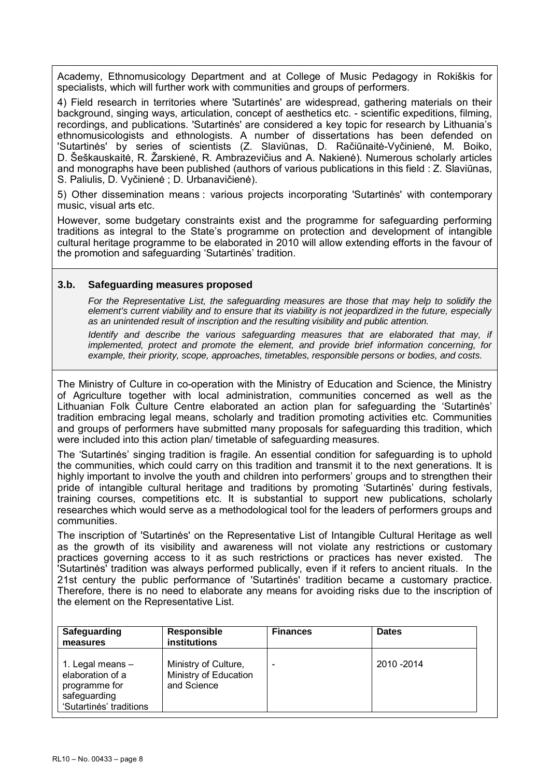Academy, Ethnomusicology Department and at College of Music Pedagogy in Rokiškis for specialists, which will further work with communities and groups of performers.

4) Field research in territories where 'Sutartinės' are widespread, gathering materials on their background, singing ways, articulation, concept of aesthetics etc. - scientific expeditions, filming, recordings, and publications. 'Sutartinės' are considered a key topic for research by Lithuania's ethnomusicologists and ethnologists. A number of dissertations has been defended on 'Sutartinės' by series of scientists (Z. Slaviūnas, D. Račiūnaitė-Vyčinienė, M. Boiko, D. Šeškauskaitė, R. Žarskienė, R. Ambrazevičius and A. Nakienė). Numerous scholarly articles and monographs have been published (authors of various publications in this field : Z. Slaviūnas, S. Paliulis, D. Vyčinienė ; D. Urbanavičienė).

5) Other dissemination means : various projects incorporating 'Sutartinės' with contemporary music, visual arts etc.

However, some budgetary constraints exist and the programme for safeguarding performing traditions as integral to the State's programme on protection and development of intangible cultural heritage programme to be elaborated in 2010 will allow extending efforts in the favour of the promotion and safeguarding 'Sutartinės' tradition.

### **3.b. Safeguarding measures proposed**

*For the Representative List, the safeguarding measures are those that may help to solidify the element's current viability and to ensure that its viability is not jeopardized in the future, especially as an unintended result of inscription and the resulting visibility and public attention.* 

*Identify and describe the various safeguarding measures that are elaborated that may, if implemented, protect and promote the element, and provide brief information concerning, for example, their priority, scope, approaches, timetables, responsible persons or bodies, and costs.* 

The Ministry of Culture in co-operation with the Ministry of Education and Science, the Ministry of Agriculture together with local administration, communities concerned as well as the Lithuanian Folk Culture Centre elaborated an action plan for safeguarding the 'Sutartinės' tradition embracing legal means, scholarly and tradition promoting activities etc. Communities and groups of performers have submitted many proposals for safeguarding this tradition, which were included into this action plan/ timetable of safeguarding measures.

The 'Sutartinės' singing tradition is fragile. An essential condition for safeguarding is to uphold the communities, which could carry on this tradition and transmit it to the next generations. It is highly important to involve the youth and children into performers' groups and to strengthen their pride of intangible cultural heritage and traditions by promoting 'Sutartinės' during festivals, training courses, competitions etc. It is substantial to support new publications, scholarly researches which would serve as a methodological tool for the leaders of performers groups and communities.

The inscription of 'Sutartinės' on the Representative List of Intangible Cultural Heritage as well as the growth of its visibility and awareness will not violate any restrictions or customary practices governing access to it as such restrictions or practices has never existed. The 'Sutartinės' tradition was always performed publically, even if it refers to ancient rituals. In the 21st century the public performance of 'Sutartinės' tradition became a customary practice. Therefore, there is no need to elaborate any means for avoiding risks due to the inscription of the element on the Representative List.

| Safeguarding<br>measures                                                                         | <b>Responsible</b><br>institutions                           | <b>Finances</b> | <b>Dates</b> |
|--------------------------------------------------------------------------------------------------|--------------------------------------------------------------|-----------------|--------------|
| 1. Legal means -<br>elaboration of a<br>programme for<br>safeguarding<br>'Sutartinės' traditions | Ministry of Culture,<br>Ministry of Education<br>and Science | ۰               | 2010 - 2014  |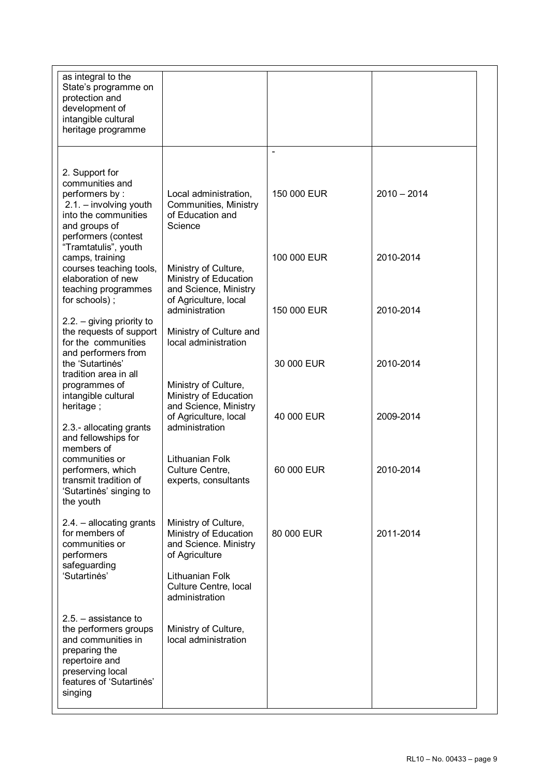| as integral to the<br>State's programme on<br>protection and<br>development of<br>intangible cultural<br>heritage programme                                         |                                                                                                 |             |               |  |
|---------------------------------------------------------------------------------------------------------------------------------------------------------------------|-------------------------------------------------------------------------------------------------|-------------|---------------|--|
|                                                                                                                                                                     |                                                                                                 |             |               |  |
| 2. Support for                                                                                                                                                      |                                                                                                 |             |               |  |
| communities and                                                                                                                                                     |                                                                                                 |             |               |  |
| performers by:<br>$2.1. -$ involving youth<br>into the communities<br>and groups of<br>performers (contest                                                          | Local administration,<br>Communities, Ministry<br>of Education and<br>Science                   | 150 000 EUR | $2010 - 2014$ |  |
| "Tramtatulis", youth                                                                                                                                                |                                                                                                 | 100 000 EUR | 2010-2014     |  |
| camps, training<br>courses teaching tools,<br>elaboration of new<br>teaching programmes<br>for schools);                                                            | Ministry of Culture,<br>Ministry of Education<br>and Science, Ministry<br>of Agriculture, local |             |               |  |
|                                                                                                                                                                     | administration                                                                                  | 150 000 EUR | 2010-2014     |  |
| $2.2. -$ giving priority to<br>the requests of support<br>for the communities<br>and performers from                                                                | Ministry of Culture and<br>local administration                                                 |             |               |  |
| the 'Sutartines'                                                                                                                                                    |                                                                                                 | 30 000 EUR  | 2010-2014     |  |
| tradition area in all<br>programmes of                                                                                                                              | Ministry of Culture,                                                                            |             |               |  |
| intangible cultural                                                                                                                                                 | Ministry of Education                                                                           |             |               |  |
| heritage;                                                                                                                                                           | and Science, Ministry                                                                           | 40 000 EUR  | 2009-2014     |  |
| 2.3.- allocating grants<br>and fellowships for<br>members of                                                                                                        | of Agriculture, local<br>administration                                                         |             |               |  |
| communities or                                                                                                                                                      | Lithuanian Folk                                                                                 |             |               |  |
| performers, which<br>transmit tradition of<br>'Sutartines' singing to<br>the youth                                                                                  | Culture Centre,<br>experts, consultants                                                         | 60 000 EUR  | 2010-2014     |  |
| 2.4. - allocating grants<br>for members of<br>communities or<br>performers                                                                                          | Ministry of Culture,<br>Ministry of Education<br>and Science. Ministry<br>of Agriculture        | 80 000 EUR  | 2011-2014     |  |
| safeguarding<br>'Sutartinės'                                                                                                                                        | Lithuanian Folk<br>Culture Centre, local<br>administration                                      |             |               |  |
| $2.5. -$ assistance to<br>the performers groups<br>and communities in<br>preparing the<br>repertoire and<br>preserving local<br>features of 'Sutartines'<br>singing | Ministry of Culture,<br>local administration                                                    |             |               |  |
|                                                                                                                                                                     |                                                                                                 |             |               |  |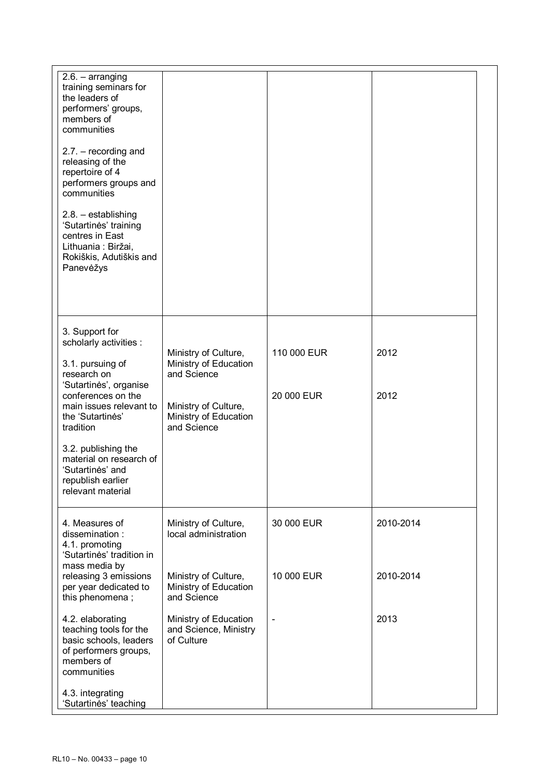| $2.6. - arranging$<br>training seminars for<br>the leaders of<br>performers' groups,<br>members of<br>communities             |                                                              |             |           |
|-------------------------------------------------------------------------------------------------------------------------------|--------------------------------------------------------------|-------------|-----------|
| $2.7. - recording$ and<br>releasing of the<br>repertoire of 4<br>performers groups and<br>communities                         |                                                              |             |           |
| 2.8. - establishing<br>'Sutartinės' training<br>centres in East<br>Lithuania: Biržai,<br>Rokiškis, Adutiškis and<br>Panevėžys |                                                              |             |           |
|                                                                                                                               |                                                              |             |           |
| 3. Support for<br>scholarly activities :<br>3.1. pursuing of<br>research on                                                   | Ministry of Culture,<br>Ministry of Education<br>and Science | 110 000 EUR | 2012      |
| 'Sutartinės', organise<br>conferences on the<br>main issues relevant to<br>the 'Sutartines'<br>tradition                      | Ministry of Culture,<br>Ministry of Education<br>and Science | 20 000 EUR  | 2012      |
| 3.2. publishing the<br>material on research of<br>'Sutartinės' and<br>republish earlier<br>relevant material                  |                                                              |             |           |
| 4. Measures of<br>dissemination:<br>4.1. promoting<br>'Sutartinės' tradition in                                               | Ministry of Culture,<br>local administration                 | 30 000 EUR  | 2010-2014 |
| mass media by<br>releasing 3 emissions<br>per year dedicated to<br>this phenomena;                                            | Ministry of Culture,<br>Ministry of Education<br>and Science | 10 000 EUR  | 2010-2014 |
| 4.2. elaborating<br>teaching tools for the<br>basic schools, leaders<br>of performers groups,<br>members of<br>communities    | Ministry of Education<br>and Science, Ministry<br>of Culture |             | 2013      |
| 4.3. integrating<br>'Sutartinės' teaching                                                                                     |                                                              |             |           |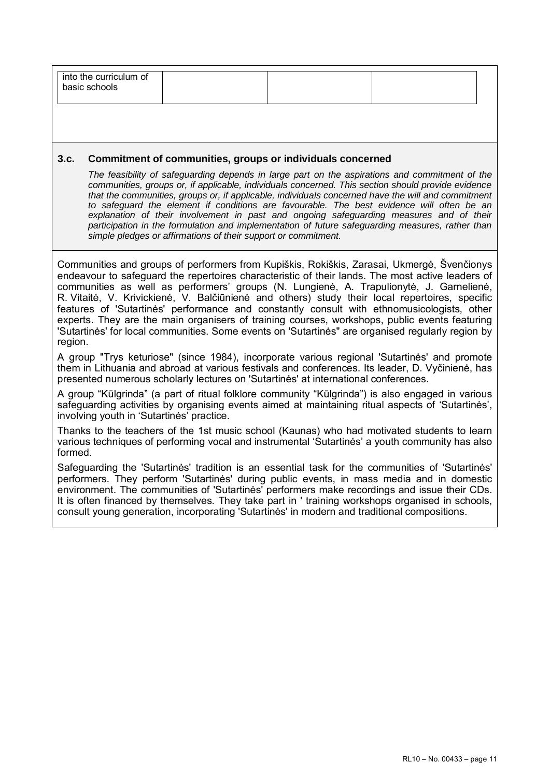| into the curriculum of<br>basic schools |
|-----------------------------------------|
|-----------------------------------------|

#### **3.c. Commitment of communities, groups or individuals concerned**

*The feasibility of safeguarding depends in large part on the aspirations and commitment of the communities, groups or, if applicable, individuals concerned. This section should provide evidence that the communities, groups or, if applicable, individuals concerned have the will and commitment to safeguard the element if conditions are favourable. The best evidence will often be an*  explanation of their involvement in past and ongoing safeguarding measures and of their *participation in the formulation and implementation of future safeguarding measures, rather than simple pledges or affirmations of their support or commitment.* 

Communities and groups of performers from Kupiškis, Rokiškis, Zarasai, Ukmergė, Švenčionys endeavour to safeguard the repertoires characteristic of their lands. The most active leaders of communities as well as performers' groups (N. Lungienė, A. Trapulionytė, J. Garnelienė, R. Vitaitė, V. Krivickienė, V. Balčiūnienė and others) study their local repertoires, specific features of 'Sutartinės' performance and constantly consult with ethnomusicologists, other experts. They are the main organisers of training courses, workshops, public events featuring 'Sutartinės' for local communities. Some events on 'Sutartinės" are organised regularly region by region.

A group "Trys keturiose" (since 1984), incorporate various regional 'Sutartinės' and promote them in Lithuania and abroad at various festivals and conferences. Its leader, D. Vyčinienė, has presented numerous scholarly lectures on 'Sutartinės' at international conferences.

A group "Kūlgrinda" (a part of ritual folklore community "Kūlgrinda") is also engaged in various safeguarding activities by organising events aimed at maintaining ritual aspects of 'Sutartinės', involving youth in 'Sutartinės' practice.

Thanks to the teachers of the 1st music school (Kaunas) who had motivated students to learn various techniques of performing vocal and instrumental 'Sutartinės' a youth community has also formed.

Safeguarding the 'Sutartinės' tradition is an essential task for the communities of 'Sutartinės' performers. They perform 'Sutartinės' during public events, in mass media and in domestic environment. The communities of 'Sutartinės' performers make recordings and issue their CDs. It is often financed by themselves. They take part in ' training workshops organised in schools, consult young generation, incorporating 'Sutartinės' in modern and traditional compositions.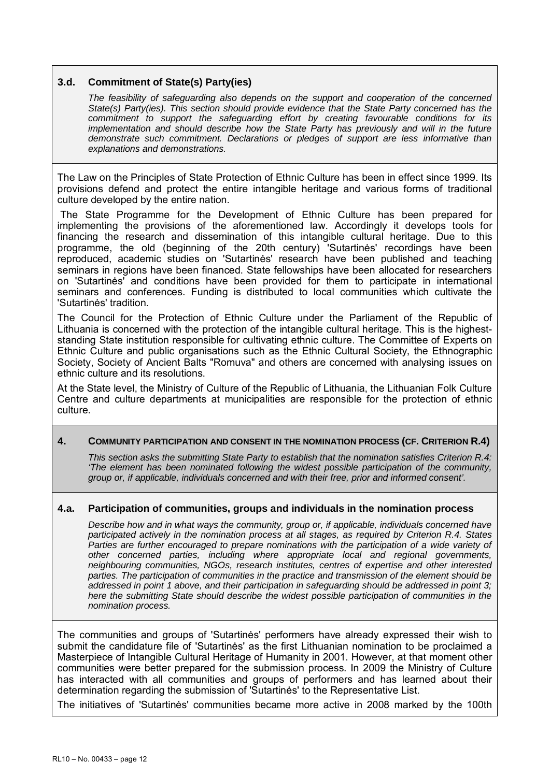## **3.d. Commitment of State(s) Party(ies)**

*The feasibility of safeguarding also depends on the support and cooperation of the concerned State(s) Party(ies). This section should provide evidence that the State Party concerned has the commitment to support the safeguarding effort by creating favourable conditions for its implementation and should describe how the State Party has previously and will in the future demonstrate such commitment. Declarations or pledges of support are less informative than explanations and demonstrations.* 

The Law on the Principles of State Protection of Ethnic Culture has been in effect since 1999. Its provisions defend and protect the entire intangible heritage and various forms of traditional culture developed by the entire nation.

 The State Programme for the Development of Ethnic Culture has been prepared for implementing the provisions of the aforementioned law. Accordingly it develops tools for financing the research and dissemination of this intangible cultural heritage. Due to this programme, the old (beginning of the 20th century) 'Sutartinės' recordings have been reproduced, academic studies on 'Sutartinės' research have been published and teaching seminars in regions have been financed. State fellowships have been allocated for researchers on 'Sutartinės' and conditions have been provided for them to participate in international seminars and conferences. Funding is distributed to local communities which cultivate the 'Sutartinės' tradition.

The Council for the Protection of Ethnic Culture under the Parliament of the Republic of Lithuania is concerned with the protection of the intangible cultural heritage. This is the higheststanding State institution responsible for cultivating ethnic culture. The Committee of Experts on Ethnic Culture and public organisations such as the Ethnic Cultural Society, the Ethnographic Society, Society of Ancient Balts "Romuva" and others are concerned with analysing issues on ethnic culture and its resolutions.

At the State level, the Ministry of Culture of the Republic of Lithuania, the Lithuanian Folk Culture Centre and culture departments at municipalities are responsible for the protection of ethnic culture.

#### **4. COMMUNITY PARTICIPATION AND CONSENT IN THE NOMINATION PROCESS (CF. CRITERION R.4)**

*This section asks the submitting State Party to establish that the nomination satisfies Criterion R.4: 'The element has been nominated following the widest possible participation of the community, group or, if applicable, individuals concerned and with their free, prior and informed consent'.* 

#### **4.a. Participation of communities, groups and individuals in the nomination process**

*Describe how and in what ways the community, group or, if applicable, individuals concerned have participated actively in the nomination process at all stages, as required by Criterion R.4. States*  Parties are further encouraged to prepare nominations with the participation of a wide variety of *other concerned parties, including where appropriate local and regional governments, neighbouring communities, NGOs, research institutes, centres of expertise and other interested parties. The participation of communities in the practice and transmission of the element should be addressed in point 1 above, and their participation in safeguarding should be addressed in point 3; here the submitting State should describe the widest possible participation of communities in the nomination process.* 

The communities and groups of 'Sutartinės' performers have already expressed their wish to submit the candidature file of 'Sutartinės' as the first Lithuanian nomination to be proclaimed a Masterpiece of Intangible Cultural Heritage of Humanity in 2001. However, at that moment other communities were better prepared for the submission process. In 2009 the Ministry of Culture has interacted with all communities and groups of performers and has learned about their determination regarding the submission of 'Sutartinės' to the Representative List.

The initiatives of 'Sutartinės' communities became more active in 2008 marked by the 100th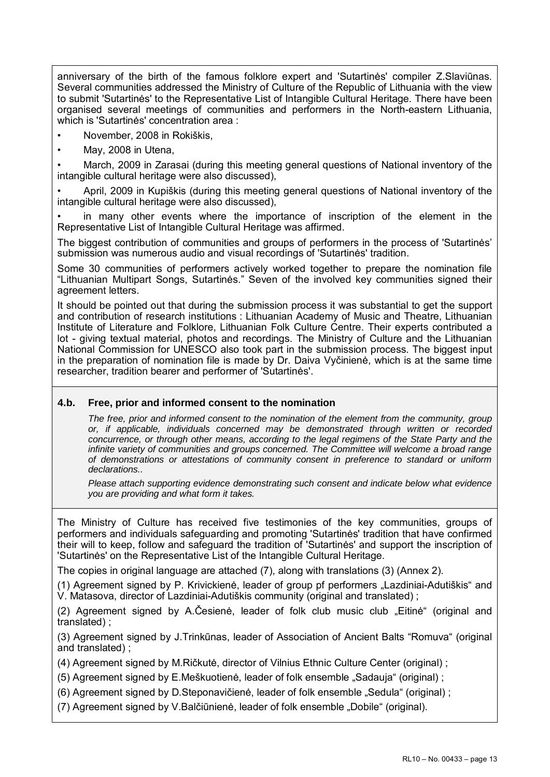anniversary of the birth of the famous folklore expert and 'Sutartinės' compiler Z.Slaviūnas. Several communities addressed the Ministry of Culture of the Republic of Lithuania with the view to submit 'Sutartinės' to the Representative List of Intangible Cultural Heritage. There have been organised several meetings of communities and performers in the North-eastern Lithuania, which is 'Sutartinės' concentration area :

• November, 2008 in Rokiškis,

• May, 2008 in Utena,

• March, 2009 in Zarasai (during this meeting general questions of National inventory of the intangible cultural heritage were also discussed),

• April, 2009 in Kupiškis (during this meeting general questions of National inventory of the intangible cultural heritage were also discussed),

in many other events where the importance of inscription of the element in the Representative List of Intangible Cultural Heritage was affirmed.

The biggest contribution of communities and groups of performers in the process of 'Sutartinės' submission was numerous audio and visual recordings of 'Sutartinės' tradition.

Some 30 communities of performers actively worked together to prepare the nomination file "Lithuanian Multipart Songs, Sutartinės." Seven of the involved key communities signed their agreement letters.

It should be pointed out that during the submission process it was substantial to get the support and contribution of research institutions : Lithuanian Academy of Music and Theatre, Lithuanian Institute of Literature and Folklore, Lithuanian Folk Culture Centre. Their experts contributed a lot - giving textual material, photos and recordings. The Ministry of Culture and the Lithuanian National Commission for UNESCO also took part in the submission process. The biggest input in the preparation of nomination file is made by Dr. Daiva Vyčinienė, which is at the same time researcher, tradition bearer and performer of 'Sutartinės'.

# **4.b. Free, prior and informed consent to the nomination**

*The free, prior and informed consent to the nomination of the element from the community, group or, if applicable, individuals concerned may be demonstrated through written or recorded concurrence, or through other means, according to the legal regimens of the State Party and the infinite variety of communities and groups concerned. The Committee will welcome a broad range of demonstrations or attestations of community consent in preference to standard or uniform declarations..* 

*Please attach supporting evidence demonstrating such consent and indicate below what evidence you are providing and what form it takes.* 

The Ministry of Culture has received five testimonies of the key communities, groups of performers and individuals safeguarding and promoting 'Sutartinės' tradition that have confirmed their will to keep, follow and safeguard the tradition of 'Sutartinės' and support the inscription of 'Sutartinės' on the Representative List of the Intangible Cultural Heritage.

The copies in original language are attached (7), along with translations (3) (Annex 2).

(1) Agreement signed by P. Krivickienė, leader of group pf performers "Lazdiniai-Adutiškis" and V. Matasova, director of Lazdiniai-Adutiškis community (original and translated) ;

(2) Agreement signed by A.Česienė, leader of folk club music club "Eitinė" (original and translated) ;

(3) Agreement signed by J.Trinkūnas, leader of Association of Ancient Balts "Romuva" (original and translated) ;

(4) Agreement signed by M.Ričkutė, director of Vilnius Ethnic Culture Center (original) ;

(5) Agreement signed by E.Meškuotienė, leader of folk ensemble "Sadauja" (original);

(6) Agreement signed by D.Steponavičienė, leader of folk ensemble "Sedula" (original) ;

(7) Agreement signed by V.Balčiūnienė, leader of folk ensemble "Dobile" (original).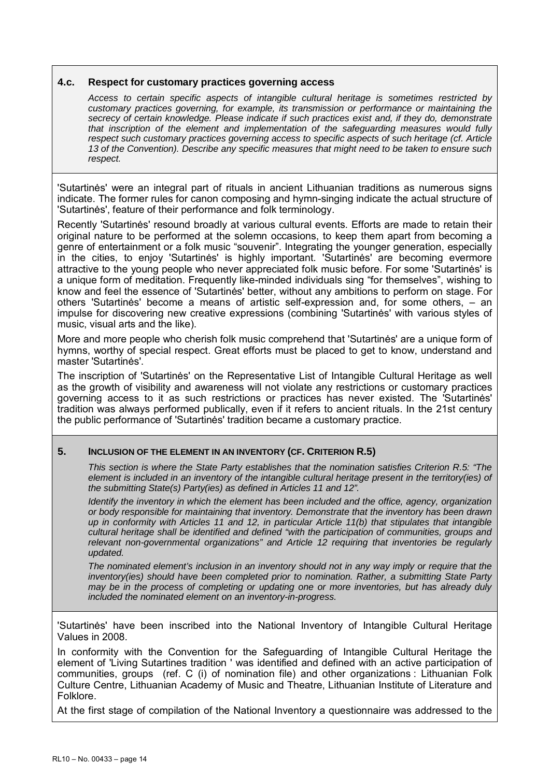#### **4.c. Respect for customary practices governing access**

*Access to certain specific aspects of intangible cultural heritage is sometimes restricted by customary practices governing, for example, its transmission or performance or maintaining the secrecy of certain knowledge. Please indicate if such practices exist and, if they do, demonstrate that inscription of the element and implementation of the safeguarding measures would fully respect such customary practices governing access to specific aspects of such heritage (cf. Article 13 of the Convention). Describe any specific measures that might need to be taken to ensure such respect.* 

'Sutartinės' were an integral part of rituals in ancient Lithuanian traditions as numerous signs indicate. The former rules for canon composing and hymn-singing indicate the actual structure of 'Sutartinės', feature of their performance and folk terminology.

Recently 'Sutartinės' resound broadly at various cultural events. Efforts are made to retain their original nature to be performed at the solemn occasions, to keep them apart from becoming a genre of entertainment or a folk music "souvenir". Integrating the younger generation, especially in the cities, to enjoy 'Sutartinės' is highly important. 'Sutartinės' are becoming evermore attractive to the young people who never appreciated folk music before. For some 'Sutartinės' is a unique form of meditation. Frequently like-minded individuals sing "for themselves", wishing to know and feel the essence of 'Sutartinės' better, without any ambitions to perform on stage. For others 'Sutartinės' become a means of artistic self-expression and, for some others, – an impulse for discovering new creative expressions (combining 'Sutartinės' with various styles of music, visual arts and the like).

More and more people who cherish folk music comprehend that 'Sutartinės' are a unique form of hymns, worthy of special respect. Great efforts must be placed to get to know, understand and master 'Sutartinės'.

The inscription of 'Sutartinės' on the Representative List of Intangible Cultural Heritage as well as the growth of visibility and awareness will not violate any restrictions or customary practices governing access to it as such restrictions or practices has never existed. The 'Sutartinės' tradition was always performed publically, even if it refers to ancient rituals. In the 21st century the public performance of 'Sutartinės' tradition became a customary practice.

# **5. INCLUSION OF THE ELEMENT IN AN INVENTORY (CF. CRITERION R.5)**

*This section is where the State Party establishes that the nomination satisfies Criterion R.5: "The element is included in an inventory of the intangible cultural heritage present in the territory(ies) of the submitting State(s) Party(ies) as defined in Articles 11 and 12".* 

*Identify the inventory in which the element has been included and the office, agency, organization or body responsible for maintaining that inventory. Demonstrate that the inventory has been drawn up in conformity with Articles 11 and 12, in particular Article 11(b) that stipulates that intangible cultural heritage shall be identified and defined "with the participation of communities, groups and relevant non-governmental organizations" and Article 12 requiring that inventories be regularly updated.* 

*The nominated element's inclusion in an inventory should not in any way imply or require that the inventory(ies) should have been completed prior to nomination. Rather, a submitting State Party may be in the process of completing or updating one or more inventories, but has already duly included the nominated element on an inventory-in-progress.* 

'Sutartinės' have been inscribed into the National Inventory of Intangible Cultural Heritage Values in 2008.

In conformity with the Convention for the Safeguarding of Intangible Cultural Heritage the element of 'Living Sutartines tradition ' was identified and defined with an active participation of communities, groups (ref. C (i) of nomination file) and other organizations : Lithuanian Folk Culture Centre, Lithuanian Academy of Music and Theatre, Lithuanian Institute of Literature and Folklore.

At the first stage of compilation of the National Inventory a questionnaire was addressed to the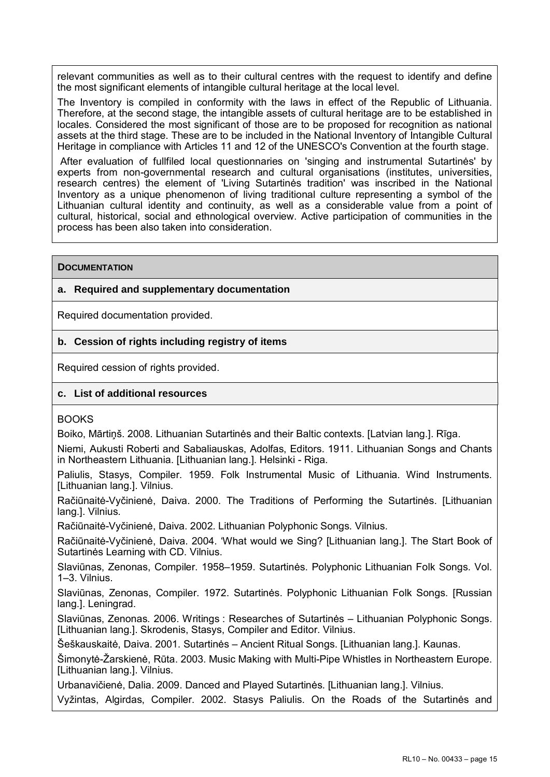relevant communities as well as to their cultural centres with the request to identify and define the most significant elements of intangible cultural heritage at the local level.

The Inventory is compiled in conformity with the laws in effect of the Republic of Lithuania. Therefore, at the second stage, the intangible assets of cultural heritage are to be established in locales. Considered the most significant of those are to be proposed for recognition as national assets at the third stage. These are to be included in the National Inventory of Intangible Cultural Heritage in compliance with Articles 11 and 12 of the UNESCO's Convention at the fourth stage.

 After evaluation of fullfiled local questionnaries on 'singing and instrumental Sutartinės' by experts from non-governmental research and cultural organisations (institutes, universities, research centres) the element of 'Living Sutartinės tradition' was inscribed in the National Inventory as a unique phenomenon of living traditional culture representing a symbol of the Lithuanian cultural identity and continuity, as well as a considerable value from a point of cultural, historical, social and ethnological overview. Active participation of communities in the process has been also taken into consideration.

### **DOCUMENTATION**

# **a. Required and supplementary documentation**

Required documentation provided.

# **b. Cession of rights including registry of items**

Required cession of rights provided.

# **c. List of additional resources**

#### **BOOKS**

Boiko, Mārtiņš. 2008. Lithuanian Sutartinės and their Baltic contexts. [Latvian lang.]. Rīga.

Niemi, Aukusti Roberti and Sabaliauskas, Adolfas, Editors. 1911. Lithuanian Songs and Chants in Northeastern Lithuania. [Lithuanian lang.]. Helsinki - Riga.

Paliulis, Stasys, Compiler. 1959. Folk Instrumental Music of Lithuania. Wind Instruments. [Lithuanian lang.]. Vilnius.

Račiūnaitė-Vyčinienė, Daiva. 2000. The Traditions of Performing the Sutartinės. [Lithuanian lang.]. Vilnius.

Račiūnaitė-Vyčinienė, Daiva. 2002. Lithuanian Polyphonic Songs. Vilnius.

Račiūnaitė-Vyčinienė, Daiva. 2004. 'What would we Sing? [Lithuanian lang.]. The Start Book of Sutartinės Learning with CD. Vilnius.

Slaviūnas, Zenonas, Compiler. 1958–1959. Sutartinės. Polyphonic Lithuanian Folk Songs. Vol. 1–3. Vilnius.

Slaviūnas, Zenonas, Compiler. 1972. Sutartinės. Polyphonic Lithuanian Folk Songs. [Russian lang.]. Leningrad.

Slaviūnas, Zenonas. 2006. Writings : Researches of Sutartinės – Lithuanian Polyphonic Songs. [Lithuanian lang.]. Skrodenis, Stasys, Compiler and Editor. Vilnius.

Šeškauskaitė, Daiva. 2001. Sutartinės – Ancient Ritual Songs. [Lithuanian lang.]. Kaunas.

Šimonytė-Žarskienė, Rūta. 2003. Music Making with Multi-Pipe Whistles in Northeastern Europe. [Lithuanian lang.]. Vilnius.

Urbanavičienė, Dalia. 2009. Danced and Played Sutartinės. [Lithuanian lang.]. Vilnius.

Vyžintas, Algirdas, Compiler. 2002. Stasys Paliulis. On the Roads of the Sutartinės and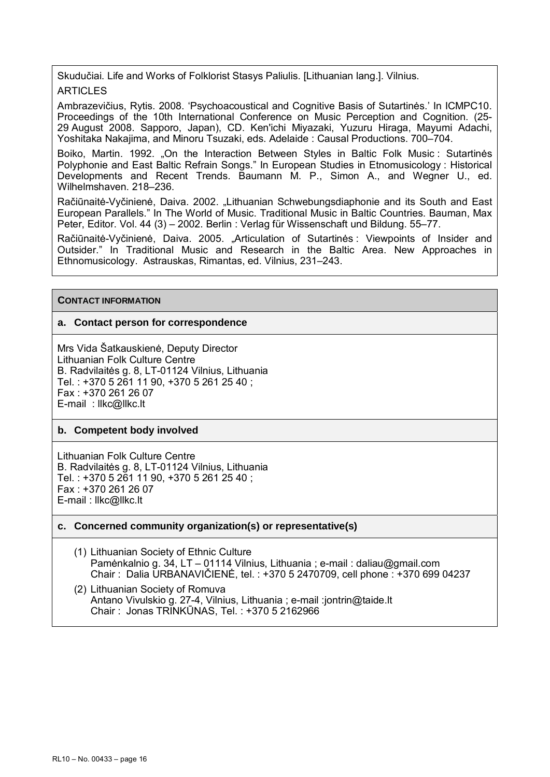Skudučiai. Life and Works of Folklorist Stasys Paliulis. [Lithuanian lang.]. Vilnius. ARTICLES

Ambrazevičius, Rytis. 2008. 'Psychoacoustical and Cognitive Basis of Sutartinės.' In ICMPC10. Proceedings of the 10th International Conference on Music Perception and Cognition. (25- 29 August 2008. Sapporo, Japan), CD. Ken'ichi Miyazaki, Yuzuru Hiraga, Mayumi Adachi, Yoshitaka Nakajima, and Minoru Tsuzaki, eds. Adelaide : Causal Productions. 700–704.

Boiko, Martin. 1992. "On the Interaction Between Styles in Baltic Folk Music : Sutartinės Polyphonie and East Baltic Refrain Songs." In European Studies in Etnomusicology : Historical Developments and Recent Trends. Baumann M. P., Simon A., and Wegner U., ed. Wilhelmshaven. 218–236.

Račiūnaitė-Vyčinienė, Daiva. 2002. "Lithuanian Schwebungsdiaphonie and its South and East European Parallels." In The World of Music. Traditional Music in Baltic Countries. Bauman, Max Peter, Editor. Vol. 44 (3) – 2002. Berlin : Verlag für Wissenschaft und Bildung. 55–77.

Račiūnaitė-Vyčinienė, Daiva. 2005. "Articulation of Sutartinės : Viewpoints of Insider and Outsider." In Traditional Music and Research in the Baltic Area. New Approaches in Ethnomusicology. Astrauskas, Rimantas, ed. Vilnius, 231–243.

#### **CONTACT INFORMATION**

#### **a. Contact person for correspondence**

Mrs Vida Šatkauskienė, Deputy Director Lithuanian Folk Culture Centre B. Radvilaitės g. 8, LT-01124 Vilnius, Lithuania Tel. : +370 5 261 11 90, +370 5 261 25 40 ; Fax : +370 261 26 07 E-mail : llkc@llkc.lt

#### **b. Competent body involved**

Lithuanian Folk Culture Centre B. Radvilaitės g. 8, LT-01124 Vilnius, Lithuania Tel. : +370 5 261 11 90, +370 5 261 25 40 ; Fax : +370 261 26 07 E-mail : llkc@llkc.lt

#### **c. Concerned community organization(s) or representative(s)**

- (1) Lithuanian Society of Ethnic Culture Pamėnkalnio g. 34, LT – 01114 Vilnius, Lithuania ; e-mail : daliau@gmail.com Chair : Dalia URBANAVIČIENĖ, tel. : +370 5 2470709, cell phone : +370 699 04237
- (2) Lithuanian Society of Romuva Antano Vivulskio g. 27-4, Vilnius, Lithuania ; e-mail :jontrin@taide.lt Chair : Jonas TRINKŪNAS, Tel. : +370 5 2162966